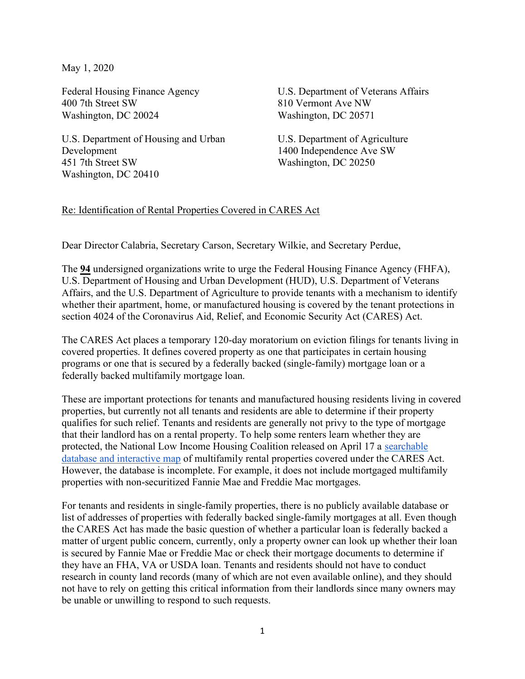May 1, 2020

Federal Housing Finance Agency 400 7th Street SW Washington, DC 20024

U.S. Department of Housing and Urban Development 451 7th Street SW Washington, DC 20410

U.S. Department of Veterans Affairs 810 Vermont Ave NW Washington, DC 20571

U.S. Department of Agriculture 1400 Independence Ave SW Washington, DC 20250

## Re: Identification of Rental Properties Covered in CARES Act

Dear Director Calabria, Secretary Carson, Secretary Wilkie, and Secretary Perdue,

The 94 undersigned organizations write to urge the Federal Housing Finance Agency (FHFA), U.S. Department of Housing and Urban Development (HUD), U.S. Department of Veterans Affairs, and the U.S. Department of Agriculture to provide tenants with a mechanism to identify whether their apartment, home, or manufactured housing is covered by the tenant protections in section 4024 of the Coronavirus Aid, Relief, and Economic Security Act (CARES) Act.

The CARES Act places a temporary 120-day moratorium on eviction filings for tenants living in covered properties. It defines covered property as one that participates in certain housing programs or one that is secured by a federally backed (single-family) mortgage loan or a federally backed multifamily mortgage loan.

These are important protections for tenants and manufactured housing residents living in covered properties, but currently not all tenants and residents are able to determine if their property qualifies for such relief. Tenants and residents are generally not privy to the type of mortgage that their landlord has on a rental property. To help some renters learn whether they are protected, the National Low Income Housing Coalition released on April 17 a searchable database and interactive map of multifamily rental properties covered under the CARES Act. However, the database is incomplete. For example, it does not include mortgaged multifamily properties with non-securitized Fannie Mae and Freddie Mac mortgages.

For tenants and residents in single-family properties, there is no publicly available database or list of addresses of properties with federally backed single-family mortgages at all. Even though the CARES Act has made the basic question of whether a particular loan is federally backed a matter of urgent public concern, currently, only a property owner can look up whether their loan is secured by Fannie Mae or Freddie Mac or check their mortgage documents to determine if they have an FHA, VA or USDA loan. Tenants and residents should not have to conduct research in county land records (many of which are not even available online), and they should not have to rely on getting this critical information from their landlords since many owners may be unable or unwilling to respond to such requests.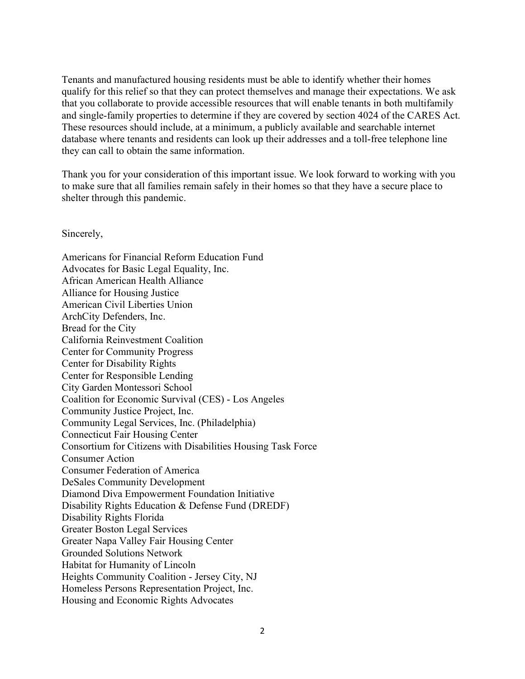Tenants and manufactured housing residents must be able to identify whether their homes qualify for this relief so that they can protect themselves and manage their expectations. We ask that you collaborate to provide accessible resources that will enable tenants in both multifamily and single-family properties to determine if they are covered by section 4024 of the CARES Act. These resources should include, at a minimum, a publicly available and searchable internet database where tenants and residents can look up their addresses and a toll-free telephone line they can call to obtain the same information.

Thank you for your consideration of this important issue. We look forward to working with you to make sure that all families remain safely in their homes so that they have a secure place to shelter through this pandemic.

Sincerely,

Americans for Financial Reform Education Fund Advocates for Basic Legal Equality, Inc. African American Health Alliance Alliance for Housing Justice American Civil Liberties Union ArchCity Defenders, Inc. Bread for the City California Reinvestment Coalition Center for Community Progress Center for Disability Rights Center for Responsible Lending City Garden Montessori School Coalition for Economic Survival (CES) - Los Angeles Community Justice Project, Inc. Community Legal Services, Inc. (Philadelphia) Connecticut Fair Housing Center Consortium for Citizens with Disabilities Housing Task Force Consumer Action Consumer Federation of America DeSales Community Development Diamond Diva Empowerment Foundation Initiative Disability Rights Education & Defense Fund (DREDF) Disability Rights Florida Greater Boston Legal Services Greater Napa Valley Fair Housing Center Grounded Solutions Network Habitat for Humanity of Lincoln Heights Community Coalition - Jersey City, NJ Homeless Persons Representation Project, Inc. Housing and Economic Rights Advocates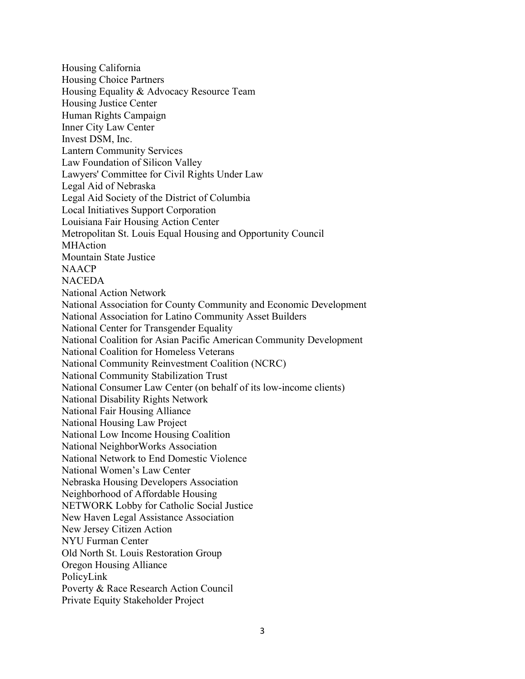Housing California Housing Choice Partners Housing Equality & Advocacy Resource Team Housing Justice Center Human Rights Campaign Inner City Law Center Invest DSM, Inc. Lantern Community Services Law Foundation of Silicon Valley Lawyers' Committee for Civil Rights Under Law Legal Aid of Nebraska Legal Aid Society of the District of Columbia Local Initiatives Support Corporation Louisiana Fair Housing Action Center Metropolitan St. Louis Equal Housing and Opportunity Council MHAction Mountain State Justice NAACP **NACEDA** National Action Network National Association for County Community and Economic Development National Association for Latino Community Asset Builders National Center for Transgender Equality National Coalition for Asian Pacific American Community Development National Coalition for Homeless Veterans National Community Reinvestment Coalition (NCRC) National Community Stabilization Trust National Consumer Law Center (on behalf of its low-income clients) National Disability Rights Network National Fair Housing Alliance National Housing Law Project National Low Income Housing Coalition National NeighborWorks Association National Network to End Domestic Violence National Women's Law Center Nebraska Housing Developers Association Neighborhood of Affordable Housing NETWORK Lobby for Catholic Social Justice New Haven Legal Assistance Association New Jersey Citizen Action NYU Furman Center Old North St. Louis Restoration Group Oregon Housing Alliance PolicyLink Poverty & Race Research Action Council Private Equity Stakeholder Project